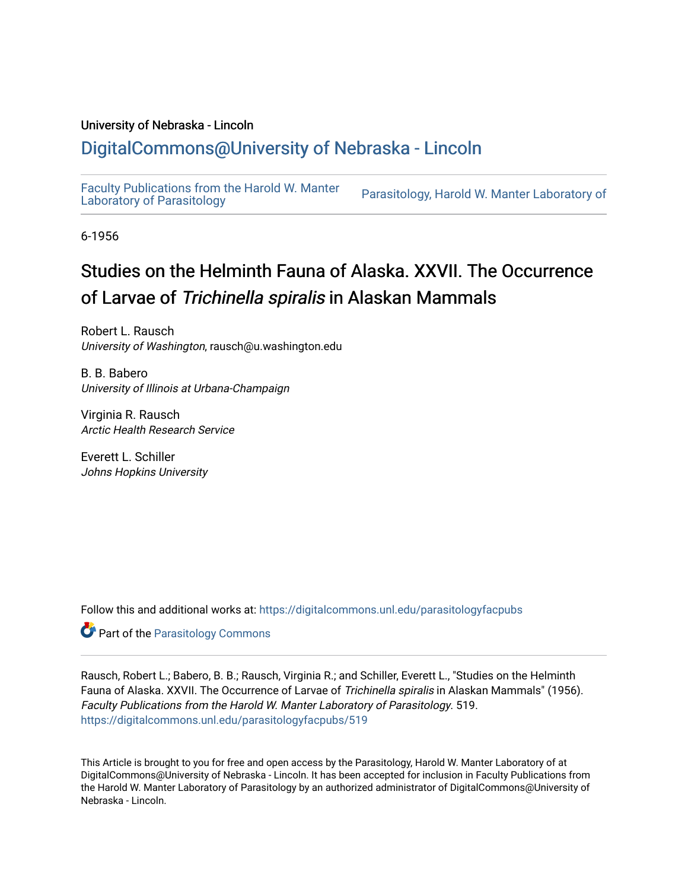## University of Nebraska - Lincoln

## [DigitalCommons@University of Nebraska - Lincoln](https://digitalcommons.unl.edu/)

[Faculty Publications from the Harold W. Manter](https://digitalcommons.unl.edu/parasitologyfacpubs)<br>Laboratory of Parasitology

Parasitology, Harold W. Manter Laboratory of

6-1956

# Studies on the Helminth Fauna of Alaska. XXVII. The Occurrence of Larvae of Trichinella spiralis in Alaskan Mammals

Robert L. Rausch University of Washington, rausch@u.washington.edu

B. B. Babero University of Illinois at Urbana-Champaign

Virginia R. Rausch Arctic Health Research Service

Everett L. Schiller Johns Hopkins University

Follow this and additional works at: [https://digitalcommons.unl.edu/parasitologyfacpubs](https://digitalcommons.unl.edu/parasitologyfacpubs?utm_source=digitalcommons.unl.edu%2Fparasitologyfacpubs%2F519&utm_medium=PDF&utm_campaign=PDFCoverPages)

**Part of the [Parasitology Commons](http://network.bepress.com/hgg/discipline/39?utm_source=digitalcommons.unl.edu%2Fparasitologyfacpubs%2F519&utm_medium=PDF&utm_campaign=PDFCoverPages)** 

Rausch, Robert L.; Babero, B. B.; Rausch, Virginia R.; and Schiller, Everett L., "Studies on the Helminth Fauna of Alaska. XXVII. The Occurrence of Larvae of Trichinella spiralis in Alaskan Mammals" (1956). Faculty Publications from the Harold W. Manter Laboratory of Parasitology. 519. [https://digitalcommons.unl.edu/parasitologyfacpubs/519](https://digitalcommons.unl.edu/parasitologyfacpubs/519?utm_source=digitalcommons.unl.edu%2Fparasitologyfacpubs%2F519&utm_medium=PDF&utm_campaign=PDFCoverPages)

This Article is brought to you for free and open access by the Parasitology, Harold W. Manter Laboratory of at DigitalCommons@University of Nebraska - Lincoln. It has been accepted for inclusion in Faculty Publications from the Harold W. Manter Laboratory of Parasitology by an authorized administrator of DigitalCommons@University of Nebraska - Lincoln.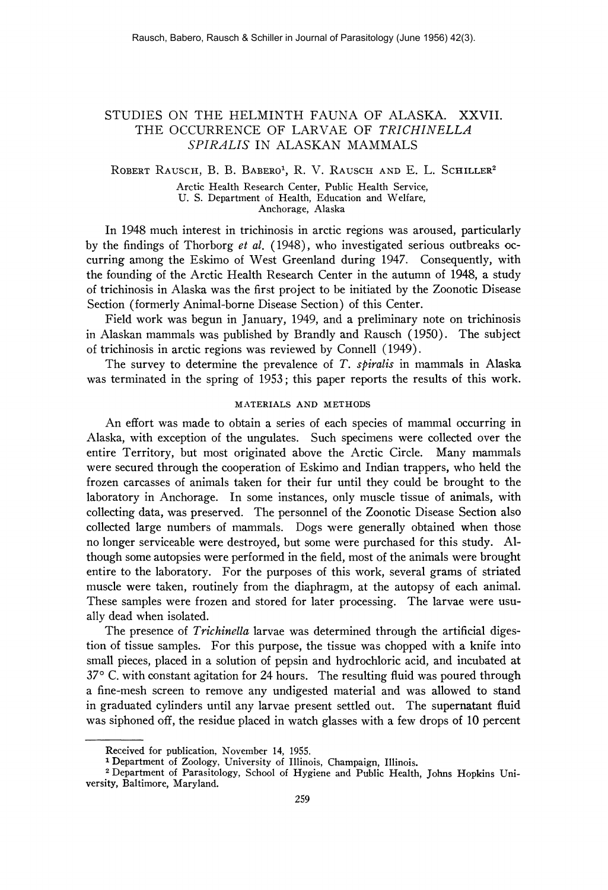## **STUDIES ON THE HELMINTH FAUNA OF ALASKA. XXVII. THE OCCURRENCE OF LARVAE OF TRICHINELLA SPIRALIS IN ALASKAN MAMMALS**

**ROBERT RAUSCH, B. B. BABERO1, R. V. RAUSCH AND E. L. SCHILLER2** 

**Arctic Health Research Center, Public Health Service, U. S. Department of Health, Education and Welfare, Anchorage, Alaska** 

**In 1948 much interest in trichinosis in arctic regions was aroused, particularly by the findings of Thorborg et al. (1948), who investigated serious outbreaks occurring among the Eskimo of West Greenland during 1947. Consequently, with the founding of the Arctic Health Research Center in the autumn of 1948, a study of trichinosis in Alaska was the first project to be initiated by the Zoonotic Disease Section (formerly Animal-borne Disease Section) of this Center.** 

**Field work was begun in January, 1949, and a preliminary note on trichinosis in Alaskan mammals was published by Brandly and Rausch (1950). The subject of trichinosis in arctic regions was reviewed by Connell (1949).** 

**The survey to determine the prevalence of T. spiralis in mammals in Alaska was terminated in the spring of 1953; this paper reports the results of this work.** 

#### **MATERIALS AND METHODS**

**An effort was made to obtain a series of each species of mammal occurring in Alaska, with exception of the ungulates. Such specimens were collected over the entire Territory, but most originated above the Arctic Circle. Many mammals were secured through the cooperation of Eskimo and Indian trappers, who held the frozen carcasses of animals taken for their fur until they could be brought to the laboratory in Anchorage. In some instances, only muscle tissue of animals, with collecting data, was preserved. The personnel of the Zoonotic Disease Section also collected large numbers of mammals. Dogs were generally obtained when those no longer serviceable were destroyed, but some were purchased for this study. Although some autopsies were performed in the field, most of the animals were brought entire to the laboratory. For the purposes of this work, several grams of striated muscle were taken, routinely from the diaphragm, at the autopsy of each animal. These samples were frozen and stored for later processing. The larvae were usually dead when isolated.** 

**The presence of Trichinella larvae was determined through the artificial digestion of tissue samples. For this purpose, the tissue was chopped with a knife into small pieces, placed in a solution of pepsin and hydrochloric acid, and incubated at 37? C. with constant agitation for 24 hours. The resulting fluid was poured through a fine-mesh screen to remove any undigested material and was allowed to stand in graduated cylinders until any larvae present settled out. The supernatant fluid was siphoned off, the residue placed in watch glasses with a few drops of 10 percent** 

**Received for publication, November 14, 1955.** 

**<sup>1</sup> Department of Zoology, University of Illinois, Champaign, Illinois.** 

**<sup>2</sup> Department of Parasitology, School of Hygiene and Public Health, Johns Hopkins University, Baltimore, Maryland.**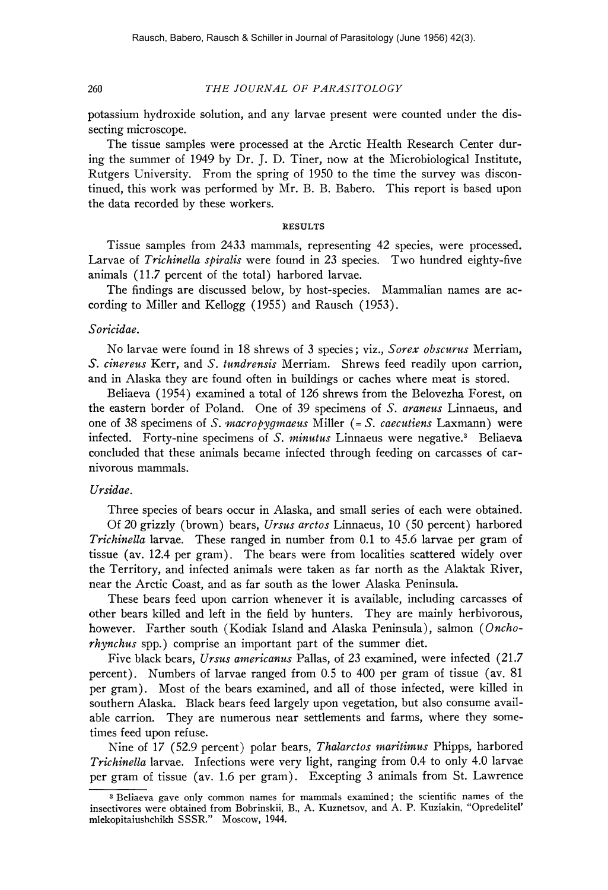**260** 

## **THE JOURNAL OF PARASITOLOGY**

**potassium hydroxide solution, and any larvae present were counted under the dissecting microscope.** 

**The tissue samples were processed at the Arctic Health Research Center during the summer of 1949 by Dr. J. D. Tiner, now at the Microbiological Institute, Rutgers University. From the spring of 1950 to the time the survey was discontinued, this work was performed by Mr. B. B. Babero. This report is based upon the data recorded by these workers.** 

#### **RESULTS**

**Tissue samples from 2433 mammals, representing 42 species, were processed. Larvae of Trichinella spiralis were found in 23 species. Two hundred eighty-five animals (11.7 percent of the total) harbored larvae.** 

**The findings are discussed below, by host-species. Mammalian names are according to Miller and Kellogg (1955) and Rausch (1953).** 

#### **Soricidae.**

**No larvae were found in 18 shrews of 3 species; viz., Sorex obscurus Merriam, S. cinereus Kerr, and S. tundrensis Merriam. Shrews feed readily upon carrion, and in Alaska they are found often in buildings or caches where meat is stored.** 

**Beliaeva (1954) examined a total of 126 shrews from the Belovezha Forest, on the eastern border of Poland. One of 39 specimens of S. araneus Linnaeus, and one of 38 specimens of S. macropygmaeus Miller (= S. caecutiens Laxmann) were infected. Forty-nine specimens of S. minutus Linnaeus were negative.3 Beliaeva concluded that these animals became infected through feeding on carcasses of carnivorous mammals.** 

#### **Ursidae.**

**Three species of bears occur in Alaska, and small series of each were obtained.** 

**Of 20 grizzly (brown) bears, Ursus arctos Linnaeus, 10 (50 percent) harbored Trichinella larvae. These ranged in number from 0.1 to 45.6 larvae per gram of tissue (av. 12.4 per gram). The bears were from localities scattered widely over the Territory, and infected animals were taken as far north as the Alaktak River, near the Arctic Coast, and as far south as the lower Alaska Peninsula.** 

**These bears feed upon carrion whenever it is available, including carcasses of other bears killed and left in the field by hunters. They are mainly herbivorous, however. Farther south (Kodiak Island and Alaska Peninsula), salmon (Onchorhynchus spp.) comprise an important part of the summer diet.** 

**Five black bears, Ursus americanus Pallas, of 23 examined, were infected (21.7 percent). Numbers of larvae ranged from 0.5 to 400 per gram of tissue (av. 81 per gram). Most of the bears examined, and all of those infected, were killed in southern Alaska. Black bears feed largely upon vegetation, but also consume available carrion. They are numerous near settlements and farms, where they sometimes feed upon refuse.** 

**Nine of 17 (52.9 percent) polar bears, Thalarctos maritimus Phipps, harbored Trichinella larvae. Infections were very light, ranging from 0.4 to only 4.0 larvae per gram of tissue (av. 1.6 per gram). Excepting 3 animals from St. Lawrence** 

**<sup>3</sup>Beliaeva gave only common names for mammals examined; the scientific names of the insectivores were obtained from Bobrinskii, B., A. Kuznetsov, and A. P. Kuziakin, "Opredelitel' mlekopitaiushchikh SSSR." Moscow, 1944.**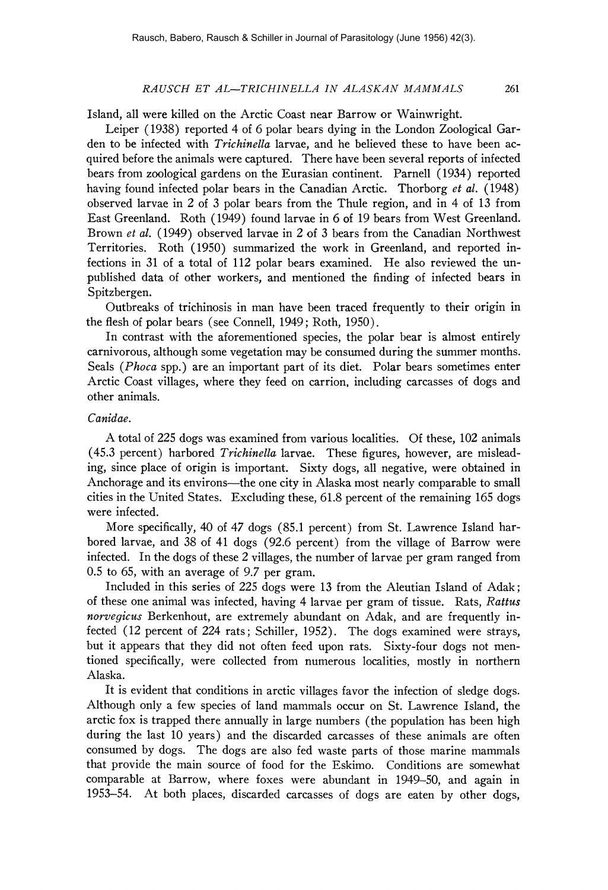**Island, all were killed on the Arctic Coast near Barrow or Wainwright.** 

**Leiper (1938) reported 4 of 6 polar bears dying in the London Zoological Garden to be infected with Trichinella larvae, and he believed these to have been acquired before the animals were captured. There have been several reports of infected bears from zoological gardens on the Eurasian continent. Parnell (1934) reported having found infected polar bears in the Canadian Arctic. Thorborg et al. (1948) observed larvae in 2 of 3 polar bears from the Thule region, and in 4 of 13 from East Greenland. Roth (1949) found larvae in 6 of 19 bears from West Greenland. Brown et al. (1949) observed larvae in 2 of 3 bears from the Canadian Northwest Territories. Roth (1950) summarized the work in Greenland, and reported infections in 31 of a total of 112 polar bears examined. He also reviewed the unpublished data of other workers, and mentioned the finding of infected bears in Spitzbergen.** 

**Outbreaks of trichinosis in man have been traced frequently to their origin in the flesh of polar bears (see Connell, 1949; Roth, 1950).** 

**In contrast with the aforementioned species, the polar bear is almost entirely carnivorous, although some vegetation may be consumed during the summer months. Seals (Phoca spp.) are an important part of its diet. Polar bears sometimes enter Arctic Coast villages, where they feed on carrion, including carcasses of dogs and other animals.** 

## **Canidae.**

**A total of 225 dogs was examined from various localities. Of these, 102 animals (45.3 percent) harbored Trichinella larvae. These figures, however, are misleading, since place of origin is important. Sixty dogs, all negative, were obtained in Anchorage and its environs-the one city in Alaska most nearly comparable to small cities in the United States. Excluding these, 61.8 percent of the remaining 165 dogs were infected.** 

**More specifically, 40 of 47 dogs (85.1 percent) from St. Lawrence Island harbored larvae, and 38 of 41 dogs (92.6 percent) from the village of Barrow were infected. In the dogs of these 2 villages, the number of larvae per gram ranged from 0.5 to 65, with an average of 9.7 per gram.** 

**Included in this series of 225 dogs were 13 from the Aleutian Island of Adak; of these one animal was infected, having 4 larvae per gram of tissue. Rats, Rattus norvegicus Berkenhout, are extremely abundant on Adak, and are frequently infected (12 percent of 224 rats; Schiller, 1952). The dogs examined were strays, but it appears that they did not often feed upon rats. Sixty-four dogs not mentioned specifically, were collected from numerous localities, mostly in northern Alaska.** 

**It is evident that conditions in arctic villages favor the infection of sledge dogs. Although only a few species of land mammals occur on St. Lawrence Island, the arctic fox is trapped there annually in large numbers (the population has been high during the last 10 years) and the discarded carcasses of these animals are often consumed by dogs. The dogs are also fed waste parts of those marine mammals that provide the main source of food for the Eskimo. Conditions are somewhat comparable at Barrow, where foxes were abundant in 1949-50, and again in 1953-54. At both places, discarded carcasses of dogs are eaten by other dogs,**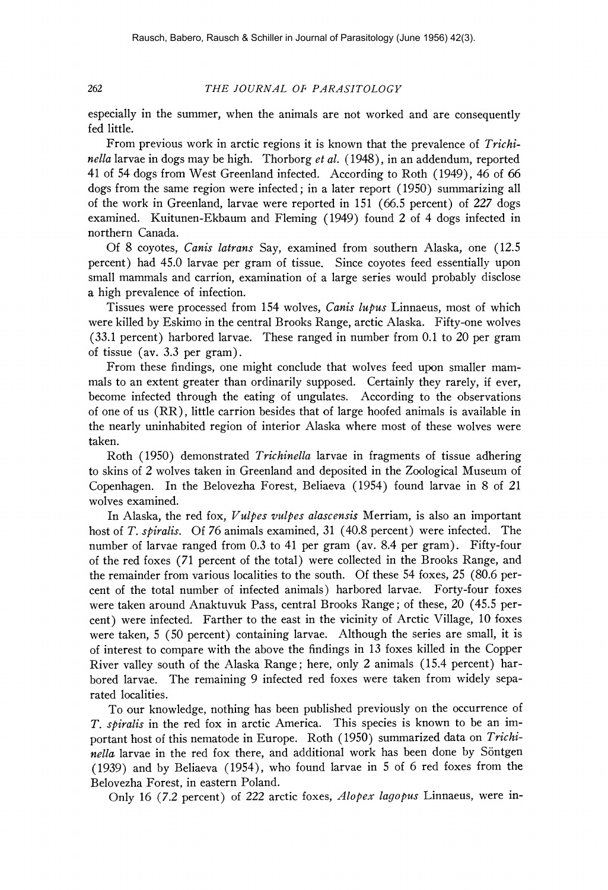**THE JOURNAL OF PARASITOLOGY** 

**especially in the summer, when the animals are not worked and are consequently fed little.** 

**From previous work in arctic regions it is known that the prevalence of Trichinella larvae in dogs may be high. Thorborg et al. (1948), in an addendum, reported 41 of 54 dogs from West Greenland infected. According to Roth (1949), 46 of 66 dogs from the same region were infected; in a later report (1950) summarizing all of the work in Greenland, larvae were reported in 151 (66.5 percent) of 227 dogs examined. Kuitunen-Ekbaum and Fleming (1949) found 2 of 4 dogs infected in northern Canada.** 

**Of 8 coyotes, Canis latrans Say, examined from southern Alaska, one (12.5 percent) had 45.0 larvae per gram of tissue. Since coyotes feed essentially upon small mammals and carrion, examination of a large series would probably disclose a high prevalence of infection.** 

**Tissues were processed from 154 wolves, Canis lupus Linnaeus, most of which were killed by Eskimo in the central Brooks Range, arctic Alaska. Fifty-one wolves (33.1 percent) harbored larvae. These ranged in number from 0.1 to 20 per gram of tissue (av. 3.3 per gram).** 

**From these findings, one might conclude that wolves feed upon smaller mammals to an extent greater than ordinarily supposed. Certainly they rarely, if ever, become infected through the eating of ungulates. According to the observations of one of us (RR), little carrion besides that of large hoofed animals is available in the nearly uninhabited region of interior Alaska where most of these wolves were taken.** 

**Roth (1950) demonstrated Trichinella larvae in fragments of tissue adhering to skins of 2 wolves taken in Greenland and deposited in the Zoological Museum of Copenhagen. In the Belovezha Forest, Beliaeva (1954) found larvae in 8 of 21 wolves examined.** 

**In Alaska, the red fox, Vulpes vulpes alascensis Merriam, is also an important host of T. spiralis. Of 76 animals examined, 31 (40.8 percent) were infected. The number of larvae ranged from 0.3 to 41 per gram (av. 8.4 per gram). Fifty-four of the red foxes (71 percent of the total) were collected in the Brooks Range, and the remainder from various localities to the south. Of these 54 foxes, 25 (80.6 percent of the total number of infected animals) harbored larvae. Forty-four foxes were taken around Anaktuvuk Pass, central Brooks Range; of these, 20 (45.5 percent) were infected. Farther to the east in the vicinity of Arctic Village, 10 foxes were taken, 5 (50 percent) containing larvae. Although the series are small, it is of interest to compare with the above the findings in 13 foxes killed in the Copper River valley south of the Alaska Range; here, only 2 animals (15.4 percent) harbored larvae. The remaining 9 infected red foxes were taken from widely separated localities.** 

**To our knowledge, nothing has been published previously on the occurrence of T. spiralis in the red fox in arctic America. This species is known to be an important host of this nematode in Europe. Roth (1950) summarized data on Trichi**nella larvae in the red fox there, and additional work has been done by Söntgen **(1939) and by Beliaeva (1954), who found larvae in 5 of 6 red foxes from the Belovezha Forest, in eastern Poland.** 

**Only 16 (7.2 percent) of 222 arctic foxes, Alopex lagopus Linnaeus, were in-**

**262**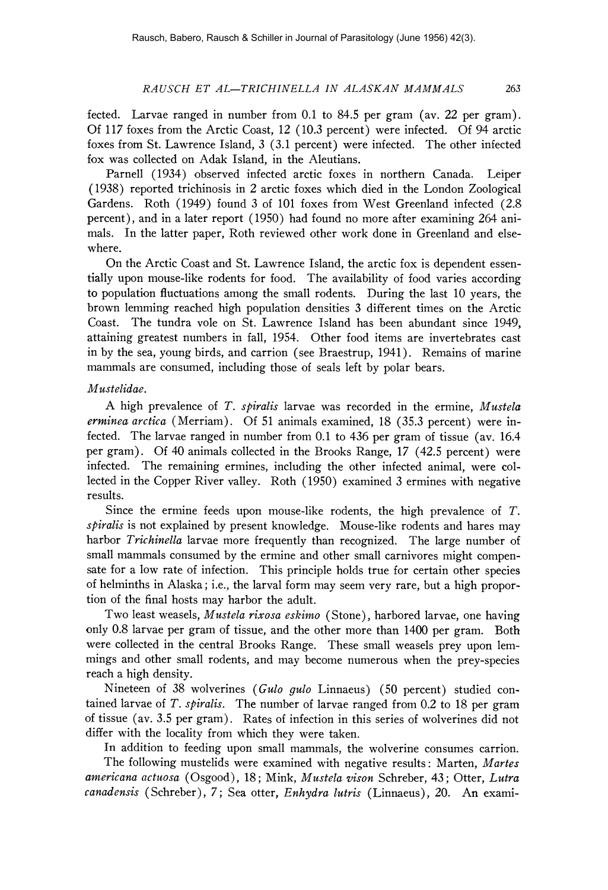**263** 

**fected. Larvae ranged in number from 0.1 to 84.5 per gram (av. 22 per gram). Of 117 foxes from the Arctic Coast, 12 (10.3 percent) were infected. Of 94 arctic foxes from St. Lawrence Island, 3 (3.1 percent) were infected. The other infected fox was collected on Adak Island, in the Aleutians.** 

**Parnell (1934) observed infected arctic foxes in northern Canada. Leiper (1938) reported trichinosis in 2 arctic foxes which died in the London Zoological Gardens. Roth (1949) found 3 of 101 foxes from West Greenland infected (2.8 percent), and in a later report (1950) had found no more after examining 264 animals. In the latter paper, Roth reviewed other work done in Greenland and elsewhere.** 

**On the Arctic Coast and St. Lawrence Island, the arctic fox is dependent essentially upon mouse-like rodents for food. The availability of food varies according to population fluctuations among the small rodents. During the last 10 years, the brown lemming reached high population densities 3 different times on the Arctic Coast. The tundra vole on St. Lawrence Island has been abundant since 1949, attaining greatest numbers in fall, 1954. Other food items are invertebrates cast in by the sea, young birds, and carrion (see Braestrup, 1941). Remains of marine mammals are consumed, including those of seals left by polar bears.** 

## **Mustelidae.**

**A high prevalence of T. spiralis larvae was recorded in the ermine, Mustela erminea arctica (Merriam). Of 51 animals examined, 18 (35.3 percent) were infected. The larvae ranged in number from 0.1 to 436 per gram of tissue (av. 16.4 per gram). Of 40 animals collected in the Brooks Range, 17 (42.5 percent) were infected. The remaining ermines, including the other infected animal, were collected in the Copper River valley. Roth (1950) examined 3 ermines with negative results.** 

**Since the ermine feeds upon mouse-like rodents, the high prevalence of T. spiralis is not explained by present knowledge. Mouse-like rodents and hares may harbor Trichinella larvae more frequently than recognized. The large number of small mammals consumed by the ermine and other small carnivores might compensate for a low rate of infection. This principle holds true for certain other species of helminths in Alaska; i.e., the larval form may seem very rare, but a high proportion of the final hosts may harbor the adult.** 

**Two least weasels, Mustela rixosa eskimo (Stone), harbored larvae, one having only 0.8 larvae per gram of tissue, and the other more than 1400 per gram. Both were collected in the central Brooks Range. These small weasels prey upon lemmings and other small rodents, and may become numerous when the prey-species reach a high density.** 

**Nineteen of 38 wolverines (Gulo gulo Linnaeus) (50 percent) studied contained larvae of T. spiralis. The number of larvae ranged from 0.2 to 18 per gram of tissue (av. 3.5 per gram). Rates of infection in this series of wolverines did not differ with the locality from which they were taken.** 

**In addition to feeding upon small mammals, the wolverine consumes carrion.** 

**The following mustelids were examined with negative results: Marten, Martes americana actuosa (Osgood), 18; Mink, Mustela vison Schreber, 43; Otter, Lutra canadensis (Schreber), 7; Sea otter, Enhydra lutris (Linnaeus), 20. An exami-**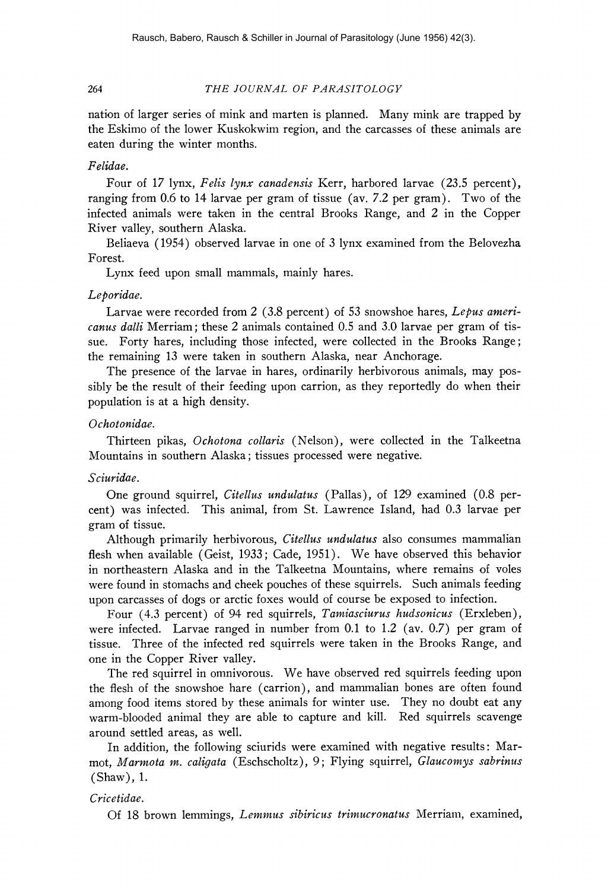**THE JOURNAL OF PARASITOLOGY 264** 

**nation of larger series of mink and marten is planned. Many mink are trapped by the Eskimo of the lower Kuskokwim region, and the carcasses of these animals are eaten during the winter months.** 

## **Felidae.**

**Four of 17 lynx, Felis lynx canadensis Kerr, harbored larvae (23.5 percent), ranging from 0.6 to 14 larvae per gram of tissue (av. 7.2 per gram). Two of the infected animals were taken in the central Brooks Range, and 2 in the Copper River valley, southern Alaska.** 

**Beliaeva (1954) observed larvae in one of 3 lynx examined from the Belovezha Forest.** 

**Lynx feed upon small mammals, mainly hares.** 

## **Leporidae.**

**Larvae were recorded from 2 (3.8 percent) of 53 snowshoe hares, Lepus americanus dalli Merriam; these 2 animals contained 0.5 and 3.0 larvae per gram of tissue. Forty hares, including those infected, were collected in the Brooks Range; the remaining 13 were taken in southern Alaska, near Anchorage.** 

**The presence of the larvae in hares, ordinarily herbivorous animals, may possibly be the result of their feeding upon carrion, as they reportedly do when their population is at a high density.** 

#### **Ochotonidae.**

**Thirteen pikas, Ochotona collaris (Nelson), were collected in the Talkeetna Mountains in southern Alaska; tissues processed were negative.** 

#### **Sciuridae.**

**One ground squirrel, Citellus undulatus (Pallas), of 129 examined (0.8 percent) was infected. This animal, from St. Lawrence Island, had 0.3 larvae per gram of tissue.** 

**Although primarily herbivorous, Citellus undulatus also consumes mammalian flesh when available (Geist, 1933; Cade, 1951). We have observed this behavior in northeastern Alaska and in the Talkeetna Mountains, where remains of voles were found in stomachs and cheek pouches of these squirrels. Such animals feeding upon carcasses of dogs or arctic foxes would of course be exposed to infection.** 

**Four (4.3 percent) of 94 red squirrels, Tamiasciurus hudsonicus (Erxleben), were infected. Larvae ranged in number from 0.1 to 1.2 (av. 0.7) per gram of tissue. Three of the infected red squirrels were taken in the Brooks Range, and one in the Copper River valley.** 

**The red squirrel in omnivorous. We have observed red squirrels feeding upon the flesh of the snowshoe hare (carrion), and mammalian bones are often found among food items stored by these animals for winter use. They no doubt eat any warm-blooded animal they are able to capture and kill. Red squirrels scavenge around settled areas, as well.** 

**In addition, the following sciurids were examined with negative results: Marmot, Marmota m. caligata (Eschscholtz), 9; Flying squirrel, Glaucomys sabrinus (Shaw), 1.** 

## **Cricetidae.**

**Of 18 brown lemmings, Lemmus sibiricus trimucronatus Merriam, examined,**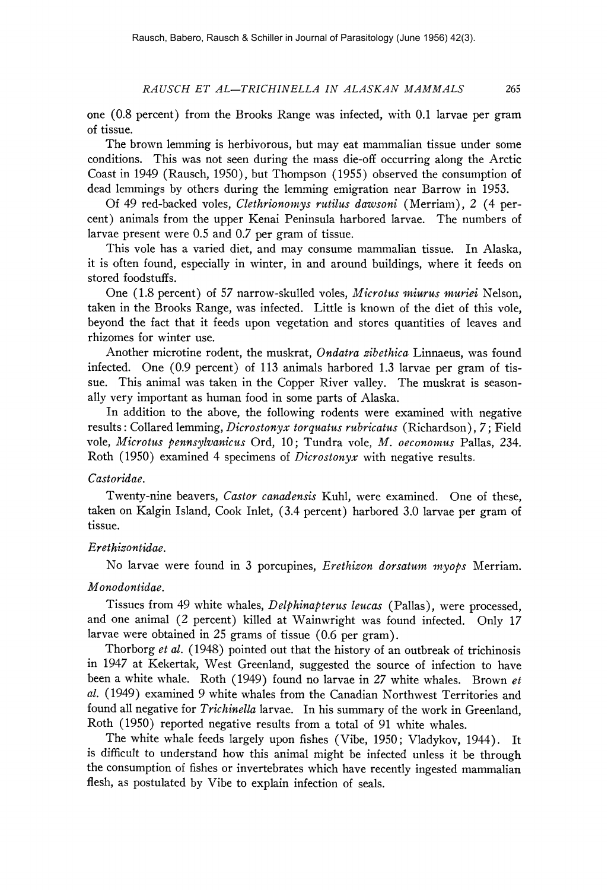**one (0.8 percent) from the Brooks Range was infected, with 0.1 larvae per gram of tissue.** 

**The brown lemming is herbivorous, but may eat mammalian tissue under some conditions. This was not seen during the mass die-off occurring along the Arctic Coast in 1949 (Rausch, 1950), but Thompson (1955) observed the consumption of dead lemmings by others during the lemming emigration near Barrow in 1953.** 

**Of 49 red-backed voles, Clethrionomys rutilus dawsoni (Merriam), 2 (4 percent) animals from the upper Kenai Peninsula harbored larvae. The numbers of larvae present were 0.5 and 0.7 per gram of tissue.** 

**This vole has a varied diet, and may consume mammalian tissue. In Alaska, it is often found, especially in winter, in and around buildings, where it feeds on stored foodstuffs.** 

One (1.8 percent) of 57 narrow-skulled voles, *Microtus miurus muriei* Nelson, **taken in the Brooks Range, was infected. Little is known of the diet of this vole, beyond the fact that it feeds upon vegetation and stores quantities of leaves and rhizomes for winter use.** 

**Another microtine rodent, the muskrat, Ondatra zibethica Linnaeus, was found infected. One (0.9 percent) of 113 animals harbored 1.3 larvae per gram of tissue. This animal was taken in the Copper River valley. The muskrat is seasonally very important as human food in some parts of Alaska.** 

**In addition to the above, the following rodents were examined with negative results: Collared lemming, Dicrostonyx torquatus rubricatus (Richardson), 7; Field vole, Microtus pennsylvanicus Ord, 10; Tundra vole, M. oeconomus Pallas, 234. Roth (1950) examined 4 specimens of Dicrostonyx with negative results.** 

## **Castoridae.**

**Twenty-nine beavers, Castor canadensis Kuhl, were examined. One of these, taken on Kalgin Island, Cook Inlet, (3.4 percent) harbored 3.0 larvae per gram of tissue.** 

## **Erethizontidae.**

**No larvae were found in 3 porcupines, Erethizon dorsatum imyops Merriam.** 

## **Monodontidae.**

**Tissues from 49 white whales, Delphinapterus leucas (Pallas), were processed, and one animal (2 percent) killed at Wainwright was found infected. Only 17 larvae were obtained in 25 grams of tissue (0.6 per gram).** 

**Thorborg et al. (1948) pointed out that the history of an outbreak of trichinosis in 1947 at Kekertak, West Greenland, suggested the source of infection to have been a white whale. Roth (1949) found no larvae in 27 white whales. Brown et al. (1949) examined 9 white whales from the Canadian Northwest Territories and found all negative for Trichinella larvae. In his summary of the work in Greenland, Roth (1950) reported negative results from a total of 91 white whales.** 

**The white whale feeds largely upon fishes (Vibe, 1950; Vladykov, 1944). It is difficult to understand how this animal might be infected unless it be through the consumption of fishes or invertebrates which have recently ingested mammalian flesh, as postulated by Vibe to explain infection of seals.**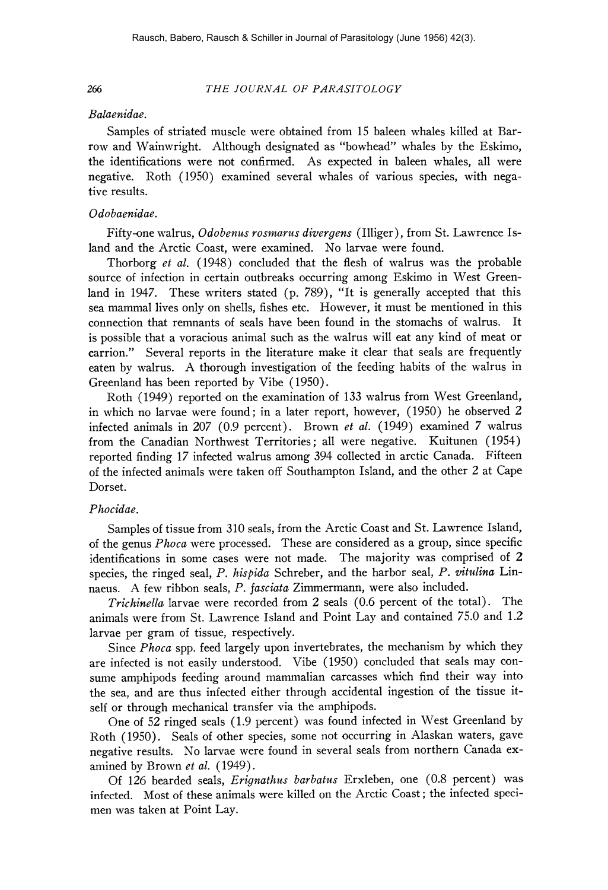**THE JOURNAL OF PARASITOLOGY** 

## **Balaenidae.**

**Samples of striated muscle were obtained from 15 baleen whales killed at Barrow and Wainwright. Although designated as "bowhead" whales by the Eskimo, the identifications were not confirmed. As expected in baleen whales, all were negative. Roth (1950) examined several whales of various species, with negative results.** 

## **Odobaenidae.**

**Fifty-one walrus, Odobenus rosmarus divergens (Illiger), from St. Lawrence Island and the Arctic Coast, were examined. No larvae were found.** 

**Thorborg et al. (1948) concluded that the flesh of walrus was the probable source of infection in certain outbreaks occurring among Eskimo in West Greenland in 1947. These writers stated (p. 789), "It is generally accepted that this sea mammal lives only on shells, fishes etc. However, it must be mentioned in this connection that remnants of seals have been found in the stomachs of walrus. It is possible that a voracious animal such as the walrus will eat any kind of meat or carrion." Several reports in the literature make it clear that seals are frequently eaten by walrus. A thorough investigation of the feeding habits of the walrus in Greenland has been reported by Vibe (1950).** 

**Roth (1949) reported on the examination of 133 walrus from West Greenland, in which no larvae were found; in a later report, however, (1950) he observed 2 infected animals in 207 (0.9 percent). Brown et al. (1949) examined 7 walrus from the Canadian Northwest Territories; all were negative. Kuitunen (1954) reported finding 17 infected walrus among 394 collected in arctic Canada. Fifteen of the infected animals were taken off Southampton Island, and the other 2 at Cape Dorset.** 

## **Phocidae.**

**Samples of tissue from 310 seals, from the Arctic Coast and St. Lawrence Island, of the genus Phoca were processed. These are considered as a group, since specific identifications in some cases were not made. The majority was comprised of 2 species, the ringed seal, P. hispida Schreber, and the harbor seal, P. vitulina Linnaeus. A few ribbon seals, P. fasciata Zimmermann, were also included.** 

**Trichinella larvae were recorded from 2 seals (0.6 percent of the total). The animals were from St. Lawrence Island and Point Lay and contained 75.0 and 1.2 larvae per gram of tissue, respectively.** 

**Since Phoca spp. feed largely upon invertebrates, the mechanism by which they are infected is not easily understood. Vibe (1950) concluded that seals may consume amphipods feeding around mammalian carcasses which find their way into the sea, and are thus infected either through accidental ingestion of the tissue itself or through mechanical transfer via the amphipods.** 

**One of 52 ringed seals (1.9 percent) was found infected in West Greenland by Roth (1950). Seals of other species, some not occurring in Alaskan waters, gave negative results. No larvae were found in several seals from northern Canada examined by Brown et al. (1949).** 

**Of 126 bearded seals, Erignathus barbatus Erxleben, one (0.8 percent) was infected. Most of these animals were killed on the Arctic Coast; the infected specimen was taken at Point Lay.** 

**266**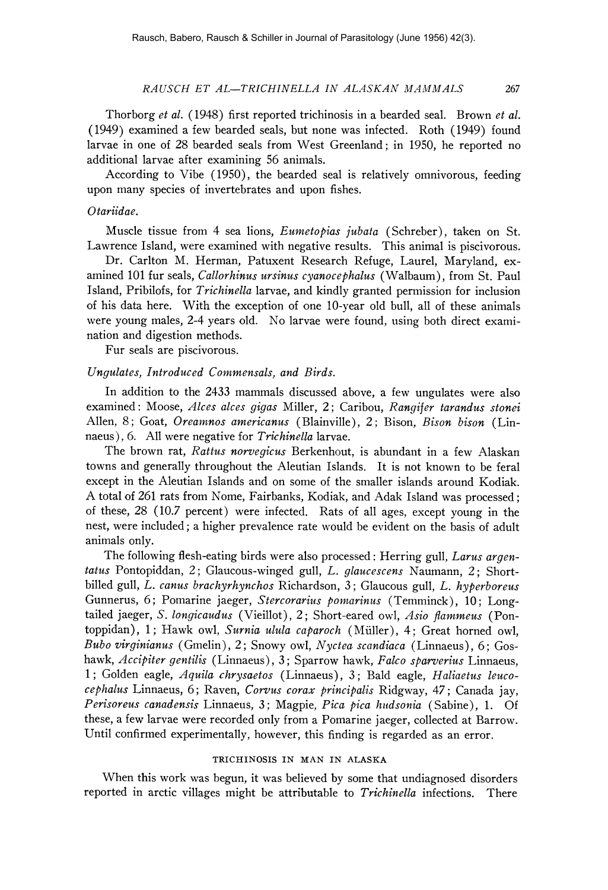**267** 

**Thorborg et al. (1948) first reported trichinosis in a bearded seal. Brown et al. (1949) examined a few bearded seals, but none was infected. Roth (1949) found larvae in one of 28 bearded seals from West Greenland; in 1950, he reported no additional larvae after examining 56 animals.** 

**According to Vibe (1950), the bearded seal is relatively omnivorous, feeding upon many species of invertebrates and upon fishes.** 

## **Otariidae.**

**Muscle tissue from 4 sea lions, Eumetopias jubata (Schreber), taken on St. Lawrence Island, were examined with negative results. This animal is piscivorous.** 

**Dr. Carlton M. Herman, Patuxent Research Refuge, Laurel, Maryland, examined 101 fur seals, Callorhinus ursinus cyanocephalus (Walbaum), from St. Paul Island, Pribilofs, for Trichinella larvae, and kindly granted permission for inclusion of his data here. With the exception of one 10-year old bull, all of these animals were young males, 2-4 years old. No larvae were found, using both direct examination and digestion methods.** 

**Fur seals are piscivorous.** 

## **Ungulates, Introduced Commensals, and Birds.**

**In addition to the 2433 mammals discussed above, a few ungulates were also examined: Moose, Alces alces gigas Miller, 2; Caribou, Rangifer tarandus stonei Allen, 8; Goat, Oreamnos americanus (Blainville), 2; Bison, Bison bison (Linnaeus), 6. All were negative for Trichinella larvae.** 

**The brown rat, Rattus norvegicus Berkenhout, is abundant in a few Alaskan towns and generally throughout the Aleutian Islands. It is not known to be feral except in the Aleutian Islands and on some of the smaller islands around Kodiak. A total of 261 rats from Nome, Fairbanks, Kodiak, and Adak Island was processed; of these, 28 (10.7 percent) were infected. Rats of all ages, except young in the nest, were included; a higher prevalence rate would be evident on the basis of adult animals only.** 

**The following flesh-eating birds were also processed: Herring gull, Larus argentatus Pontopiddan, 2; Glaucous-winged gull, L. glaucescens Naumann, 2; Shortbilled gull, L. canus brachyrhynchos Richardson, 3; Glaucous gull, L. hyperboreus Gunnerus, 6; Pomarine jaeger, Stercorarius pomarinus (Temminck), 10; Longtailed jaeger, S. longicaudus (Vieillot), 2; Short-eared owl, Asio flammeus (Pontoppidan), 1; Hawk owl, Surnia ulula caparoch (Miiller), 4; Great horned owl, Bubo virginianus (Gmelin), 2; Snowy owl, Nyctea scandiaca (Linnaeus), 6; Goshawk, Accipiter gentilis (Linnaeus), 3; Sparrow hawk, Falco sparverius Linnaeus, 1; Golden eagle, Aquila chrysaetos (Linnaeus), 3; Bald eagle, Haliaetus leucocephalus Linnaeus, 6; Raven, Corvus corax principalis Ridgway, 47; Canada jay, Perisoreus canadensis Linnaeus, 3; Magpie, Pica pica hudsonia (Sabine), 1. Of these, a few larvae were recorded only from a Pomarine jaeger, collected at Barrow. Until confirmed experimentally, however, this finding is regarded as an error.** 

## **TRICHINOSIS IN MAN IN ALASKA**

**When this work was begun, it was believed by some that undiagnosed disorders reported in arctic villages might be attributable to Trichinella infections. There**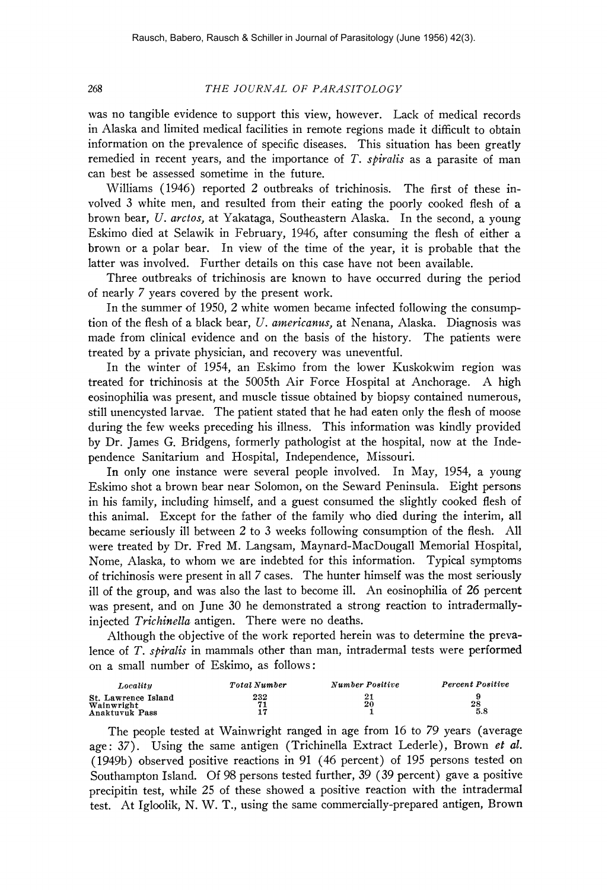**268** 

**THE JOURNAL OF PARASITOLOGY** 

**was no tangible evidence to support this view, however. Lack of medical records in Alaska and limited medical facilities in remote regions made it difficult to obtain information on the prevalence of specific diseases. This situation has been greatly remedied in recent years, and the importance of T. spiralis as a parasite of man can best be assessed sometime in the future.** 

**Williams (1946) reported 2 outbreaks of trichinosis. The first of these involved 3 white men, and resulted from their eating the poorly cooked flesh of a brown bear, U. arctos, at Yakataga, Southeastern Alaska. In the second, a young Eskimo died at Selawik in February, 1946, after consuming the flesh of either a brown or a polar bear. In view of the time of the year, it is probable that the latter was involved. Further details on this case have not been available.** 

**Three outbreaks of trichinosis are known to have occurred during the period of nearly 7 years covered by the present work.** 

**In the summer of 1950, 2 white women became infected following the consumption of the flesh of a black bear, U. americanus, at Nenana, Alaska. Diagnosis was made from clinical evidence and on the basis of the history. The patients were treated by a private physician, and recovery was uneventful.** 

**In the winter of 1954, an Eskimo from the lower Kuskokwim region was treated for trichinosis at the 5005th Air Force Hospital at Anchorage. A high eosinophilia was present, and muscle tissue obtained by biopsy contained numerous, still unencysted larvae. The patient stated that he had eaten only the flesh of moose during the few weeks preceding his illness. This information was kindly provided by Dr. James G. Bridgens, formerly pathologist at the hospital, now at the Independence Sanitarium and Hospital, Independence, Missouri.** 

**In only one instance were several people involved. In May, 1954, a young Eskimo shot a brown bear near Solomon, on the Seward Peninsula. Eight persons in his family, including himself, and a guest consumed the slightly cooked flesh of this animal. Except for the father of the family who died during the interim, all became seriously ill between 2 to 3 weeks following consumption of the flesh. All were treated by Dr. Fred M. Langsam, Maynard-MacDougall Memorial Hospital, Nome, Alaska, to whom we are indebted for this information. Typical symptoms of trichinosis were present in all 7 cases. The hunter himself was the most seriously ill of the group, and was also the last to become ill. An eosinophilia of 26 percent was present, and on June 30 he demonstrated a strong reaction to intradermallyinjected Trichinella antigen. There were no deaths.** 

**Although the objective of the work reported herein was to determine the prevalence of T. spiralis in mammals other than man, intradermal tests were performed on a small number of Eskimo, as follows:** 

| Locality                                                   | <b>Total Number</b> | Number Positive | Percent Positive |
|------------------------------------------------------------|---------------------|-----------------|------------------|
| St. Lawrence Island<br>Wainwright<br><b>Anaktuvuk Pass</b> | 232<br>71           | 21<br>20        | 28<br>5.8        |

**The people tested at Wainwright ranged in age from 16 to 79 years (average age: 37). Using the same antigen (Trichinella Extract Lederle), Brown et al. (1949b) observed positive reactions in 91 (46 percent) of 195 persons tested on Southampton Island. Of 98 persons tested further, 39 (39 percent) gave a positive precipitin test, while 25 of these showed a positive reaction with the intradermal test. At Igloolik, N. W. T., using the same commercially-prepared antigen, Brown**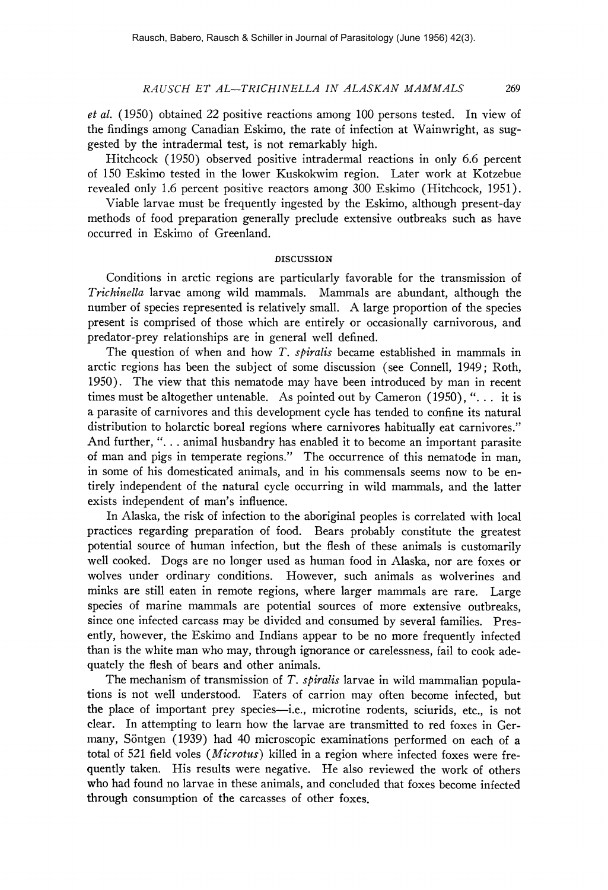**et al. (1950) obtained 22 positive reactions among 100 persons tested. In view of the findings among Canadian Eskimo, the rate of infection at Wainwright, as suggested by the intradermal test, is not remarkably high.** 

**Hitchcock (1950) observed positive intradermal reactions in only 6.6 percent of 150 Eskimo tested in the lower Kuskokwim region. Later work at Kotzebue revealed only 1.6 percent positive reactors among 300 Eskimo (Hitchcock, 1951).** 

**Viable larvae must be frequently ingested by the Eskimo, although present-day methods of food preparation generally preclude extensive outbreaks such as have occurred in Eskimo of Greenland.** 

#### **DISCUSSION**

**Conditions in arctic regions are particularly favorable for the transmission of Trichinella larvae among wild mammals. Mammals are abundant, although the number of species represented is relatively small. A large proportion of the species present is comprised of those which are entirely or occasionally carnivorous, and predator-prey relationships are in general well defined.** 

**The question of when and how T. spiralis became established in mammals in arctic regions has been the subject of some discussion (see Connell, 1949; Roth, 1950). The view that this nematode may have been introduced by man in recent times must be altogether untenable. As pointed out by Cameron (1950), ". . . it is a parasite of carnivores and this development cycle has tended to confine its natural distribution to holarctic boreal regions where carnivores habitually eat carnivores." And further, ". . . animal husbandry has enabled it to become an important parasite of man and pigs in temperate regions." The occurrence of this nematode in man, in some of his domesticated animals, and in his commensals seems now to be entirely independent of the natural cycle occurring in wild mammals, and the latter exists independent of man's influence.** 

**In Alaska, the risk of infection to the aboriginal peoples is correlated with local practices regarding preparation of food. Bears probably constitute the greatest potential source of human infection, but the flesh of these animals is customarily well cooked. Dogs are no longer used as human food in Alaska, nor are foxes or wolves under ordinary conditions. However, such animals as wolverines and minks are still eaten in remote regions, where larger mammals are rare. Large species of marine mammals are potential sources of more extensive outbreaks, since one infected carcass may be divided and consumed by several families. Presently, however, the Eskimo and Indians appear to be no more frequently infected than is the white man who may, through ignorance or carelessness, fail to cook adequately the flesh of bears and other animals.** 

**The mechanism of transmission of T. spiralis larvae in wild mammalian populations is not well understood. Eaters of carrion may often become infected, but the place of important prey species-i.e., microtine rodents, sciurids, etc., is not clear. In attempting to learn how the larvae are transmitted to red foxes in Ger**many, Söntgen (1939) had 40 microscopic examinations performed on each of a **total of 521 field voles (Microtus) killed in a region where infected foxes were frequently taken. His results were negative. He also reviewed the work of others who had found no larvae in these animals, and concluded that foxes become infected through consumption of the carcasses of other foxes.**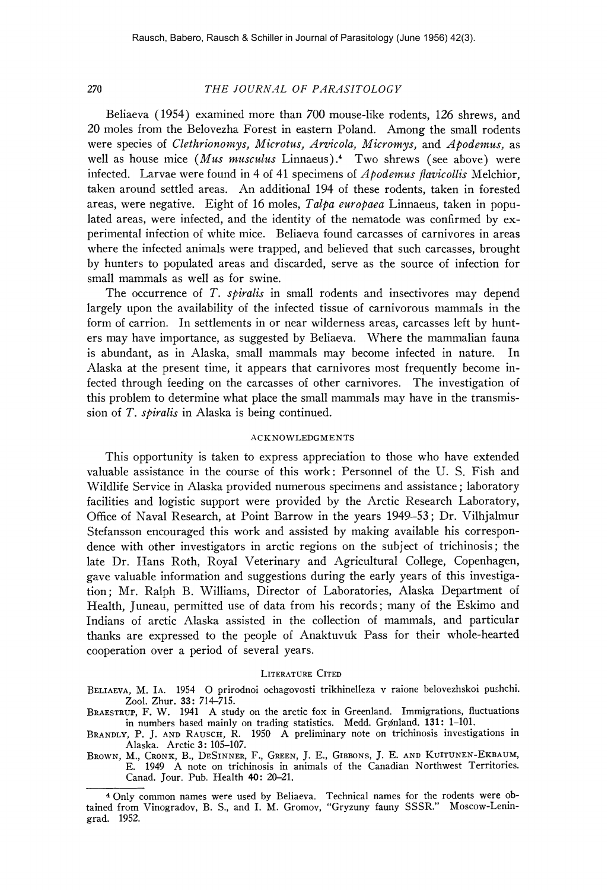**270** 

## **THE JOURNAL OF PARASITOLOGY**

**Beliaeva (1954) examined more than 700 mouse-like rodents, 126 shrews, and 20 moles from the Belovezha Forest in eastern Poland. Among the small rodents were species of Clethrionomys, Microtus, Arvicola, Micromys, and Apodemus, as well as house mice (Mus musculus Linnaeus).4 Two shrews (see above) were infected. Larvae were found in 4 of 41 specimens of Apodemus flavicollis Melchior, taken around settled areas. An additional 194 of these rodents, taken in forested areas, were negative. Eight of 16 moles, Talpa europaea Linnaeus, taken in populated areas, were infected, and the identity of the nematode was confirmed by experimental infection of white mice. Beliaeva found carcasses of carnivores in areas where the infected animals were trapped, and believed that such carcasses, brought by hunters to populated areas and discarded, serve as the source of infection for small mammals as well as for swine.** 

**The occurrence of T. spiralis in small rodents and insectivores may depend largely upon the availability of the infected tissue of carnivorous mammals in the form of carrion. In settlements in or near wilderness areas, carcasses left by hunters may have importance, as suggested by Beliaeva. Where the mammalian fauna is abundant, as in Alaska, small mammals may become infected in nature. In Alaska at the present time, it appears that carnivores most frequently become infected through feeding on the carcasses of other carnivores. The investigation of this problem to determine what place the small mammals may have in the transmission of T. spiralis in Alaska is being continued.** 

#### **ACKNOWLEDGMENTS**

**This opportunity is taken to express appreciation to those who have extended valuable assistance in the course of this work: Personnel of the U. S. Fish and Wildlife Service in Alaska provided numerous specimens and assistance; laboratory facilities and logistic support were provided by the Arctic Research Laboratory, Office of Naval Research, at Point Barrow in the years 1949-53; Dr. Vilhjalmur Stefansson encouraged this work and assisted by making available his correspondence with other investigators in arctic regions on the subject of trichinosis; the late Dr. Hans Roth, Royal Veterinary and Agricultural College, Copenhagen, gave valuable information and suggestions during the early years of this investigation; Mr. Ralph B. Williams, Director of Laboratories, Alaska Department of Health, Juneau, permitted use of data from his records; many of the Eskimo and Indians of arctic Alaska assisted in the collection of mammals, and particular thanks are expressed to the people of Anaktuvuk Pass for their whole-hearted cooperation over a period of several years.** 

#### **LITERATURE CITED**

**BELIAEVA, M. IA. 1954 0 prirodnoi ochagovosti trikhinelleza v raione belovezhskoi pushchi. Zool. Zhur. 33: 714-715.** 

**BRAESTRUP, F. W. 1941 A study on the arctic fox in Greenland. Immigrations, fluctuations**  in numbers based mainly on trading statistics. Medd. Grønland. 131: 1-101.

**BRANDLY, P. J. AND RAUSCH, R. 1950 A preliminary note on trichinosis investigations in Alaska. Arctic 3: 105-107.** 

**BROWN, M., CRONK, B., DESINNER, F., GREEN, J. E., GIBBONS, J. E. AND KUITUNEN-EKBAUM, E. 1949 A note on trichinosis in animals of the Canadian Northwest Territories. Canad. Jour. Pub. Health 40: 20-21.** 

**<sup>4</sup> Only common names were used by Beliaeva. Technical names for the rodents were obtained from Vinogradov, B. S., and I. M. Gromov, "Gryzuny fauny SSSR." Moscow-Leningrad. 1952.**